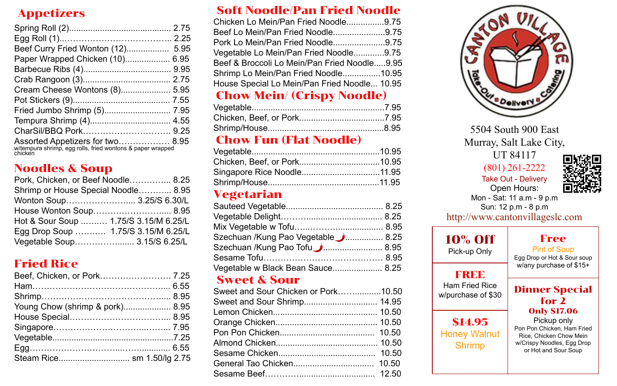## Appetizers

| Beef Curry Fried Wonton (12) 5.95                                                                         |  |
|-----------------------------------------------------------------------------------------------------------|--|
| Paper Wrapped Chicken (10) 6.95                                                                           |  |
|                                                                                                           |  |
|                                                                                                           |  |
| Cream Cheese Wontons (8) 5.95                                                                             |  |
|                                                                                                           |  |
|                                                                                                           |  |
|                                                                                                           |  |
|                                                                                                           |  |
| Assorted Appetizers for two 8.95<br>w/tempura shrimp, egg rolls, fried wontons & paper wrapped<br>chicken |  |

### Noodles & Soup

| Pork, Chicken, or Beef Noodle 8.25    |  |
|---------------------------------------|--|
| Shrimp or House Special Noodle 8.95   |  |
| Wonton Soup 3.25/S 6.30/L             |  |
| House Wonton Soup 8.95                |  |
| Hot & Sour Soup  1.75/S 3.15/M 6.25/L |  |
| Egg Drop Soup  1.75/S 3.15/M 6.25/L   |  |
| Vegetable Soup 3.15/S 6.25/L          |  |

## Fried Rice

| Beef, Chicken, or Pork 7.25     |  |
|---------------------------------|--|
|                                 |  |
|                                 |  |
| Young Chow (shrimp & pork) 8.95 |  |
|                                 |  |
|                                 |  |
|                                 |  |
|                                 |  |
|                                 |  |

### Soft Noodle/Pan Fried Noodle

| Chicken Lo Mein/Pan Fried Noodle9.75         |  |
|----------------------------------------------|--|
| Beef Lo Mein/Pan Fried Noodle9.75            |  |
| Pork Lo Mein/Pan Fried Noodle9.75            |  |
| Vegetable Lo Mein/Pan Fried Noodle9.75       |  |
| Beef & Broccoli Lo Mein/Pan Fried Noodle9.95 |  |
| Shrimp Lo Mein/Pan Fried Noodle10.95         |  |
| House Special Lo Mein/Pan Fried Noodle 10.95 |  |
|                                              |  |

### Chow Mein/ (Crispy Noodle)

### Chow Fun (Flat Noodle)

#### Vegetarian

| Szechuan /Kung Pao Vegetable ■  8.25 |  |
|--------------------------------------|--|
|                                      |  |
|                                      |  |
| Vegetable w Black Bean Sauce 8.25    |  |

#### Sweet & Sour

| Sweet and Sour Chicken or Pork10.50 |  |
|-------------------------------------|--|
|                                     |  |
|                                     |  |
|                                     |  |
|                                     |  |
|                                     |  |
|                                     |  |
|                                     |  |
|                                     |  |



5504 South 900 East Murray, Salt Lake City, UT 84117 Take Out - Delivery [\(801\) 261-2222](https://www.google.com/search?q=canton+village&source=lmns&bih=969&biw=1920&rlz=1C1PRFI_enUS831US831&hl=en&sa=X&ved=2ahUKEwi8yMGehbTxAhWEpp4KHa-wD74Q_AUoAHoECAEQAA#) Open Hours: Mon - Sat: 11 a.m - 9 p.m Sun: 12 p.m - 8 p.m http://www.cantonvillageslc.com

| <b>10% Off</b><br>Pick-up Only                  | Free<br><b>Pint of Soup</b><br>Egg Drop or Hot & Sour soup                                                                                        |
|-------------------------------------------------|---------------------------------------------------------------------------------------------------------------------------------------------------|
| FREE                                            | w/any purchase of \$15+                                                                                                                           |
| <b>Ham Fried Rice</b><br>w/purchase of \$30     | <b>Dinner Special</b><br>for 2                                                                                                                    |
| \$14.95<br><b>Honey Walnut</b><br><b>Shrimp</b> | <b>Only \$17.06</b><br>Pickup only<br>Pon Pon Chicken, Ham Fried<br>Rice, Chicken Chow Mein<br>w/Crispy Noodles, Egg Drop<br>or Hot and Sour Soup |